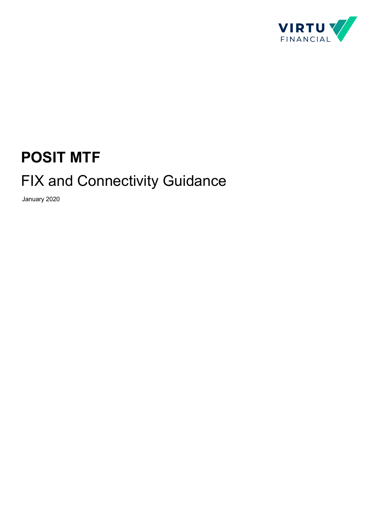

# **POSIT MTF**

# FIX and Connectivity Guidance

January 2020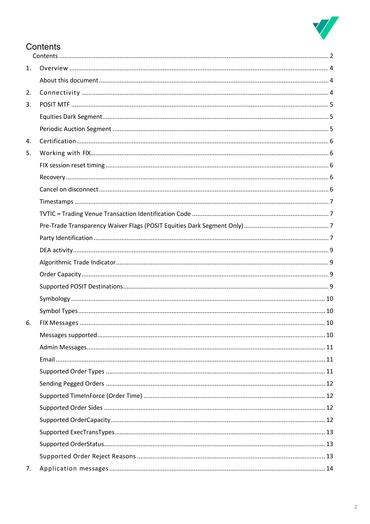

## Contents

| 1. |  |
|----|--|
|    |  |
| 2. |  |
| 3. |  |
|    |  |
|    |  |
| 4. |  |
| 5. |  |
|    |  |
|    |  |
|    |  |
|    |  |
|    |  |
|    |  |
|    |  |
|    |  |
|    |  |
|    |  |
|    |  |
|    |  |
|    |  |
| 6. |  |
|    |  |
|    |  |
|    |  |
|    |  |
|    |  |
|    |  |
|    |  |
|    |  |
|    |  |
|    |  |
|    |  |
| 7. |  |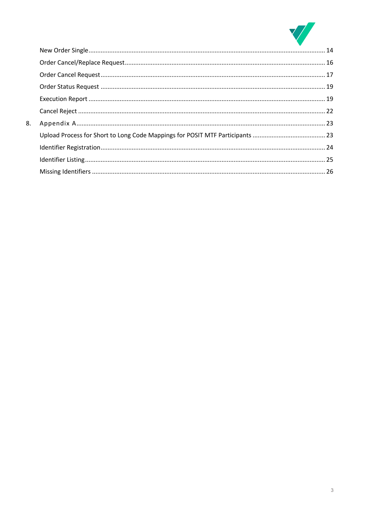

| 8. |  |
|----|--|
|    |  |
|    |  |
|    |  |
|    |  |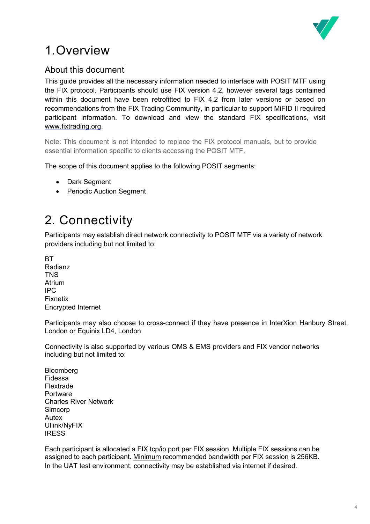

# 1.Overview

## About this document

This guide provides all the necessary information needed to interface with POSIT MTF using the FIX protocol. Participants should use FIX version 4.2, however several tags contained within this document have been retrofitted to FIX 4.2 from later versions or based on recommendations from the FIX Trading Community, in particular to support MiFID II required participant information. To download and view the standard FIX specifications, visit www.fixtrading.org.

Note: This document is not intended to replace the FIX protocol manuals, but to provide essential information specific to clients accessing the POSIT MTF.

The scope of this document applies to the following POSIT segments:

- Dark Segment
- Periodic Auction Segment

# 2. Connectivity

Participants may establish direct network connectivity to POSIT MTF via a variety of network providers including but not limited to:

**RT** Radianz **TNS** Atrium IPC Fixnetix Encrypted Internet

Participants may also choose to cross-connect if they have presence in InterXion Hanbury Street, London or Equinix LD4, London

Connectivity is also supported by various OMS & EMS providers and FIX vendor networks including but not limited to:

**Bloomberg** Fidessa Flextrade Portware Charles River Network Simcorp Autex Ullink/NyFIX **IRESS** 

Each participant is allocated a FIX tcp/ip port per FIX session. Multiple FIX sessions can be assigned to each participant. Minimum recommended bandwidth per FIX session is 256KB. In the UAT test environment, connectivity may be established via internet if desired.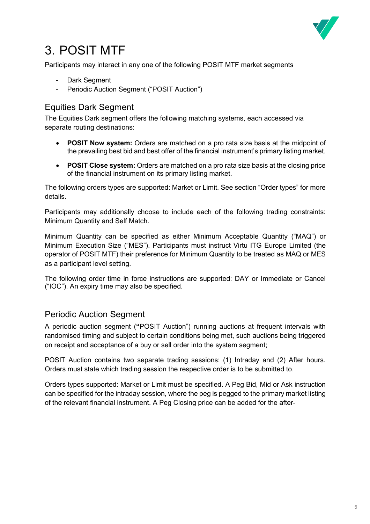

# 3. POSIT MTF

Participants may interact in any one of the following POSIT MTF market segments

- Dark Segment
- Periodic Auction Segment ("POSIT Auction")

### Equities Dark Segment

The Equities Dark segment offers the following matching systems, each accessed via separate routing destinations:

- **POSIT Now system:** Orders are matched on a pro rata size basis at the midpoint of the prevailing best bid and best offer of the financial instrument's primary listing market.
- **POSIT Close system:** Orders are matched on a pro rata size basis at the closing price of the financial instrument on its primary listing market.

The following orders types are supported: Market or Limit. See section "Order types" for more details.

Participants may additionally choose to include each of the following trading constraints: Minimum Quantity and Self Match.

Minimum Quantity can be specified as either Minimum Acceptable Quantity ("MAQ") or Minimum Execution Size ("MES"). Participants must instruct Virtu ITG Europe Limited (the operator of POSIT MTF) their preference for Minimum Quantity to be treated as MAQ or MES as a participant level setting.

The following order time in force instructions are supported: DAY or Immediate or Cancel ("IOC"). An expiry time may also be specified.

### Periodic Auction Segment

A periodic auction segment (**"**POSIT Auction") running auctions at frequent intervals with randomised timing and subject to certain conditions being met, such auctions being triggered on receipt and acceptance of a buy or sell order into the system segment;

POSIT Auction contains two separate trading sessions: (1) Intraday and (2) After hours. Orders must state which trading session the respective order is to be submitted to.

Orders types supported: Market or Limit must be specified. A Peg Bid, Mid or Ask instruction can be specified for the intraday session, where the peg is pegged to the primary market listing of the relevant financial instrument. A Peg Closing price can be added for the after-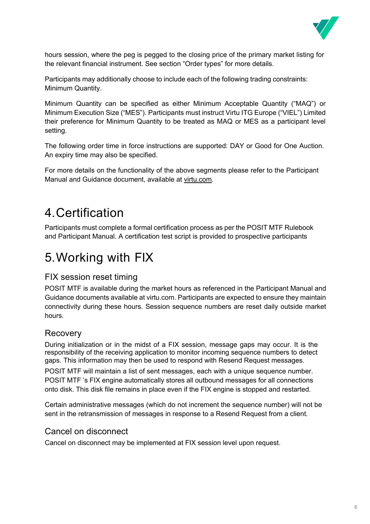

hours session, where the peg is pegged to the closing price of the primary market listing for the relevant financial instrument. See section "Order types" for more details.

Participants may additionally choose to include each of the following trading constraints: Minimum Quantity.

Minimum Quantity can be specified as either Minimum Acceptable Quantity ("MAQ") or Minimum Execution Size ("MES"). Participants must instruct Virtu ITG Europe ("VIEL") Limited their preference for Minimum Quantity to be treated as MAQ or MES as a participant level setting.

The following order time in force instructions are supported: DAY or Good for One Auction. An expiry time may also be specified.

For more details on the functionality of the above segments please refer to the Participant Manual and Guidance document, available at virtu.com.

# 4.Certification

Participants must complete a formal certification process as per the POSIT MTF Rulebook and Participant Manual. A certification test script is provided to prospective participants

# 5.Working with FIX

### FIX session reset timing

POSIT MTF is available during the market hours as referenced in the Participant Manual and Guidance documents available at virtu.com. Participants are expected to ensure they maintain connectivity during these hours. Session sequence numbers are reset daily outside market hours.

### Recovery

During initialization or in the midst of a FIX session, message gaps may occur. It is the responsibility of the receiving application to monitor incoming sequence numbers to detect gaps. This information may then be used to respond with Resend Request messages.

POSIT MTF will maintain a list of sent messages, each with a unique sequence number. POSIT MTF 's FIX engine automatically stores all outbound messages for all connections onto disk. This disk file remains in place even if the FIX engine is stopped and restarted.

Certain administrative messages (which do not increment the sequence number) will not be sent in the retransmission of messages in response to a Resend Request from a client.

### Cancel on disconnect

Cancel on disconnect may be implemented at FIX session level upon request.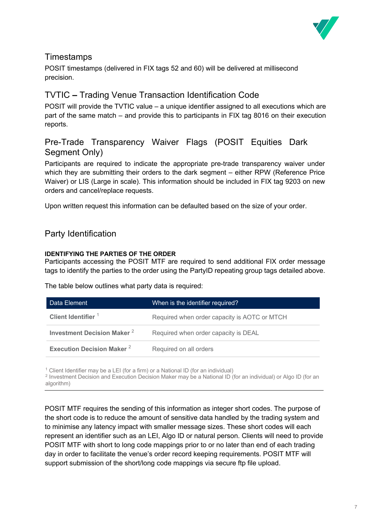

### **Timestamps**

POSIT timestamps (delivered in FIX tags 52 and 60) will be delivered at millisecond precision.

## TVTIC **–** Trading Venue Transaction Identification Code

POSIT will provide the TVTIC value – a unique identifier assigned to all executions which are part of the same match – and provide this to participants in FIX tag 8016 on their execution reports.

## Pre-Trade Transparency Waiver Flags (POSIT Equities Dark Segment Only)

Participants are required to indicate the appropriate pre-trade transparency waiver under which they are submitting their orders to the dark segment – either RPW (Reference Price Waiver) or LIS (Large in scale). This information should be included in FIX tag 9203 on new orders and cancel/replace requests.

Upon written request this information can be defaulted based on the size of your order.

### Party Identification

#### **IDENTIFYING THE PARTIES OF THE ORDER**

Participants accessing the POSIT MTF are required to send additional FIX order message tags to identify the parties to the order using the PartyID repeating group tags detailed above.

The table below outlines what party data is required:

| Data Element                       | When is the identifier required?             |
|------------------------------------|----------------------------------------------|
| Client Identifier <sup>1</sup>     | Required when order capacity is AOTC or MTCH |
| <b>Investment Decision Maker 2</b> | Required when order capacity is DEAL         |
| <b>Execution Decision Maker 2</b>  | Required on all orders                       |

 $1$  Client Identifier may be a LEI (for a firm) or a National ID (for an individual)

<sup>2</sup> Investment Decision and Execution Decision Maker may be a National ID (for an individual) or Algo ID (for an algorithm)

POSIT MTF requires the sending of this information as integer short codes. The purpose of the short code is to reduce the amount of sensitive data handled by the trading system and to minimise any latency impact with smaller message sizes. These short codes will each represent an identifier such as an LEI, Algo ID or natural person. Clients will need to provide POSIT MTF with short to long code mappings prior to or no later than end of each trading day in order to facilitate the venue's order record keeping requirements. POSIT MTF will support submission of the short/long code mappings via secure ftp file upload.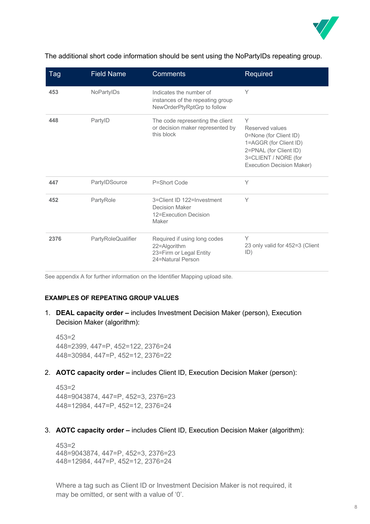

| Tag  | <b>Field Name</b>  | <b>Comments</b>                                                                              | Required                                                                                                                                                       |
|------|--------------------|----------------------------------------------------------------------------------------------|----------------------------------------------------------------------------------------------------------------------------------------------------------------|
| 453  | NoPartyIDs         | Indicates the number of<br>instances of the repeating group<br>NewOrderPtyRptGrp to follow   | Υ                                                                                                                                                              |
| 448  | PartyID            | The code representing the client<br>or decision maker represented by<br>this block           | Υ<br>Reserved values<br>0=None (for Client ID)<br>1=AGGR (for Client ID)<br>2=PNAL (for Client ID)<br>3=CLIENT / NORE (for<br><b>Execution Decision Maker)</b> |
| 447  | PartylDSource      | P=Short Code                                                                                 | Y                                                                                                                                                              |
| 452  | PartyRole          | 3=Client ID 122=Investment<br><b>Decision Maker</b><br>12=Execution Decision<br>Maker        | Υ                                                                                                                                                              |
| 2376 | PartyRoleQualifier | Required if using long codes<br>22=Algorithm<br>23=Firm or Legal Entity<br>24=Natural Person | Υ<br>23 only valid for 452=3 (Client<br>ID)                                                                                                                    |

The additional short code information should be sent using the NoPartyIDs repeating group.

See appendix A for further information on the Identifier Mapping upload site.

#### **EXAMPLES OF REPEATING GROUP VALUES**

1. **DEAL capacity order –** includes Investment Decision Maker (person), Execution Decision Maker (algorithm):

453=2 448=2399, 447=P, 452=122, 2376=24 448=30984, 447=P, 452=12, 2376=22

2. **AOTC capacity order –** includes Client ID, Execution Decision Maker (person):

453=2 448=9043874, 447=P, 452=3, 2376=23 448=12984, 447=P, 452=12, 2376=24

3. **AOTC capacity order –** includes Client ID, Execution Decision Maker (algorithm):

453=2 448=9043874, 447=P, 452=3, 2376=23 448=12984, 447=P, 452=12, 2376=24

Where a tag such as Client ID or Investment Decision Maker is not required, it may be omitted, or sent with a value of '0'.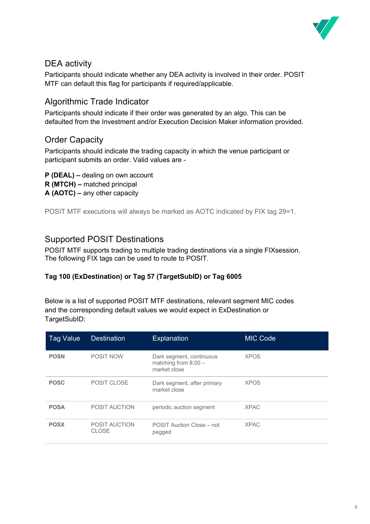

### DEA activity

Participants should indicate whether any DEA activity is involved in their order. POSIT MTF can default this flag for participants if required/applicable.

## Algorithmic Trade Indicator

Participants should indicate if their order was generated by an algo. This can be defaulted from the Investment and/or Execution Decision Maker information provided.

### Order Capacity

Participants should indicate the trading capacity in which the venue participant or participant submits an order. Valid values are -

- **P (DEAL) –** dealing on own account
- **R (MTCH) –** matched principal
- **A (AOTC) –** any other capacity

POSIT MTF executions will always be marked as AOTC indicated by FIX tag 29=1.

### Supported POSIT Destinations

POSIT MTF supports trading to multiple trading destinations via a single FIXsession. The following FIX tags can be used to route to POSIT.

#### **Tag 100 (ExDestination) or Tag 57 (TargetSubID) or Tag 6005**

Below is a list of supported POSIT MTF destinations, relevant segment MIC codes and the corresponding default values we would expect in ExDestination or TargetSubID:

| <b>Tag Value</b> | <b>Destination</b>                   | <b>Explanation</b>                                                 | <b>MIC Code</b> |
|------------------|--------------------------------------|--------------------------------------------------------------------|-----------------|
| <b>POSN</b>      | <b>POSIT NOW</b>                     | Dark segment, continuous<br>matching from $8:00 -$<br>market close | <b>XPOS</b>     |
| <b>POSC</b>      | POSIT CLOSE                          | Dark segment, after primary<br>market close                        | <b>XPOS</b>     |
| <b>POSA</b>      | <b>POSIT AUCTION</b>                 | periodic auction segment                                           | <b>XPAC</b>     |
| <b>POSX</b>      | <b>POSIT AUCTION</b><br><b>CLOSE</b> | POSIT Auction Close – not<br>pegged                                | <b>XPAC</b>     |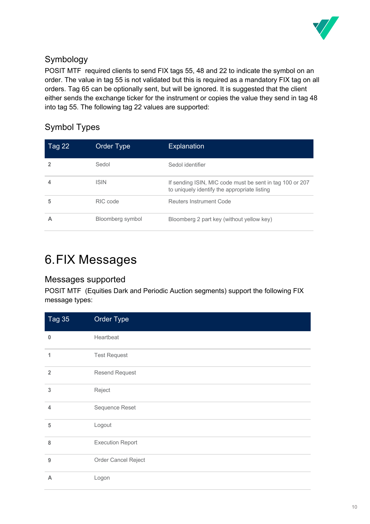

## Symbology

POSIT MTF required clients to send FIX tags 55, 48 and 22 to indicate the symbol on an order. The value in tag 55 is not validated but this is required as a mandatory FIX tag on all orders. Tag 65 can be optionally sent, but will be ignored. It is suggested that the client either sends the exchange ticker for the instrument or copies the value they send in tag 48 into tag 55. The following tag 22 values are supported:

## Symbol Types

| <b>Tag 22</b> | Order Type       | <b>Explanation</b>                                                                                       |
|---------------|------------------|----------------------------------------------------------------------------------------------------------|
|               | Sedol            | Sedol identifier                                                                                         |
|               | <b>ISIN</b>      | If sending ISIN, MIC code must be sent in tag 100 or 207<br>to uniquely identify the appropriate listing |
| 5             | RIC code         | Reuters Instrument Code                                                                                  |
| Α             | Bloomberg symbol | Bloomberg 2 part key (without yellow key)                                                                |

# 6.FIX Messages

### Messages supported

POSIT MTF (Equities Dark and Periodic Auction segments) support the following FIX message types:

| <b>Tag 35</b>  | Order Type              |
|----------------|-------------------------|
| 0              | Heartbeat               |
| 1              | <b>Test Request</b>     |
| $\overline{2}$ | <b>Resend Request</b>   |
| 3              | Reject                  |
| $\overline{4}$ | Sequence Reset          |
| 5              | Logout                  |
| 8              | <b>Execution Report</b> |
| 9              | Order Cancel Reject     |
| A              | Logon                   |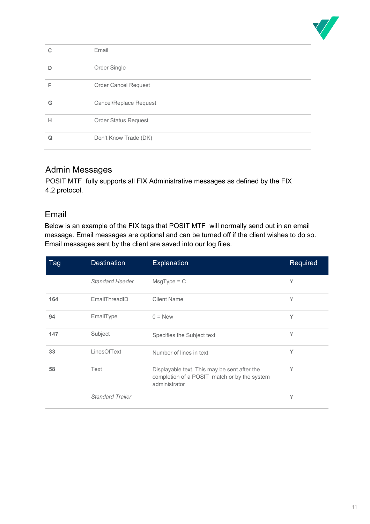

|   | Email                         |
|---|-------------------------------|
| n | Order Single                  |
| F | <b>Order Cancel Request</b>   |
| G | <b>Cancel/Replace Request</b> |
| н | <b>Order Status Request</b>   |
|   | Don't Know Trade (DK)         |

## Admin Messages

POSIT MTF fully supports all FIX Administrative messages as defined by the FIX 4.2 protocol.

### Email

Below is an example of the FIX tags that POSIT MTF will normally send out in an email message. Email messages are optional and can be turned off if the client wishes to do so. Email messages sent by the client are saved into our log files.

| <b>Tag</b> | <b>Destination</b>      | <b>Explanation</b>                                                                                            | Required |
|------------|-------------------------|---------------------------------------------------------------------------------------------------------------|----------|
|            | Standard Header         | $MsgType = C$                                                                                                 | Y        |
| 164        | EmailThreadID           | <b>Client Name</b>                                                                                            | Y        |
| 94         | EmailType               | $0 = New$                                                                                                     | Y        |
| 147        | Subject                 | Specifies the Subject text                                                                                    | Υ        |
| 33         | LinesOfText             | Number of lines in text                                                                                       | Y        |
| 58         | Text                    | Displayable text. This may be sent after the<br>completion of a POSIT match or by the system<br>administrator | Υ        |
|            | <b>Standard Trailer</b> |                                                                                                               | Υ        |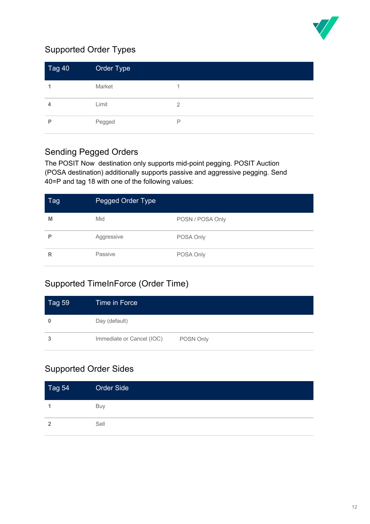

## Supported Order Types

| Tag 40 | Order Type |   |
|--------|------------|---|
|        | Market     |   |
| 4      | Limit      | 2 |
| P      | Pegged     | P |

## Sending Pegged Orders

The POSIT Now destination only supports mid-point pegging. POSIT Auction (POSA destination) additionally supports passive and aggressive pegging. Send 40=P and tag 18 with one of the following values:

| Tag | Pegged Order Type |                  |
|-----|-------------------|------------------|
| M   | Mid               | POSN / POSA Only |
| P   | Aggressive        | POSA Only        |
| R   | Passive           | POSA Only        |

## Supported TimeInForce (Order Time)

| $\overline{\phantom{a}}$ Tag 59 | Time in Force             |           |
|---------------------------------|---------------------------|-----------|
| $\bf{0}$                        | Day (default)             |           |
| 3                               | Immediate or Cancel (IOC) | POSN Only |

## Supported Order Sides

| Tag 54         | Order Side |
|----------------|------------|
|                | Buy        |
| $\overline{2}$ | Sell       |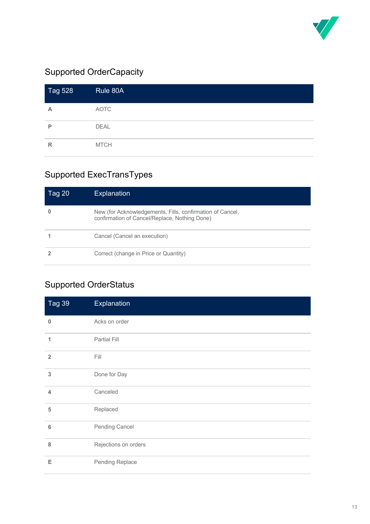

## Supported OrderCapacity

| <b>Tag 528</b> | Rule 80A    |
|----------------|-------------|
| A              | <b>AOTC</b> |
| P              | <b>DEAL</b> |
| $\mathsf{R}$   | <b>MTCH</b> |

## Supported ExecTransTypes

| Tag 20 | <b>Explanation</b>                                                                                         |
|--------|------------------------------------------------------------------------------------------------------------|
|        | New (for Acknowledgements, Fills, confirmation of Cancel,<br>confirmation of Cancel/Replace, Nothing Done) |
|        | Cancel (Cancel an execution)                                                                               |
|        | Correct (change in Price or Quantity)                                                                      |

## Supported OrderStatus

| Tag 39          | Explanation          |
|-----------------|----------------------|
| $\bf{0}$        | Acks on order        |
| 1               | Partial Fill         |
| $\overline{2}$  | Fill                 |
| 3               | Done for Day         |
| $\overline{4}$  | Canceled             |
| 5               | Replaced             |
| $6\phantom{1}6$ | Pending Cancel       |
| 8               | Rejections on orders |
| Е               | Pending Replace      |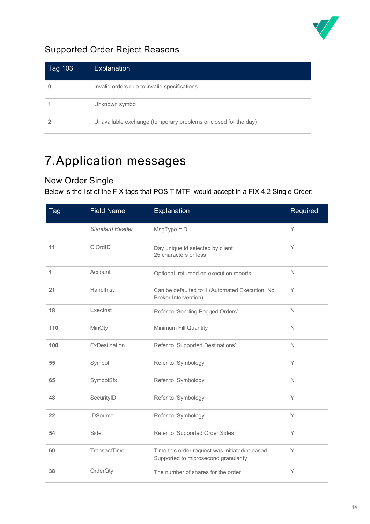

## Supported Order Reject Reasons

| Tag 1031 | <b>Explanation</b>                                              |
|----------|-----------------------------------------------------------------|
|          | Invalid orders due to invalid specifications                    |
|          | Unknown symbol                                                  |
|          | Unavailable exchange (temporary problems or closed for the day) |

# 7.Application messages

## New Order Single

Below is the list of the FIX tags that POSIT MTF would accept in a FIX 4.2 Single Order:

| Tag | <b>Field Name</b>      | Explanation                                                                             | Required     |
|-----|------------------------|-----------------------------------------------------------------------------------------|--------------|
|     | <b>Standard Header</b> | $MsgType = D$                                                                           | Y            |
| 11  | CIOrdID                | Day unique id selected by client<br>25 characters or less                               | Y            |
| 1   | Account                | Optional, returned on execution reports                                                 | $\mathsf{N}$ |
| 21  | HandlInst              | Can be defaulted to 1 (Automated Execution, No<br>Broker Intervention)                  | Y            |
| 18  | Execlnst               | Refer to 'Sending Pegged Orders'                                                        | N            |
| 110 | MinQty                 | Minimum Fill Quantity                                                                   | N            |
| 100 | ExDestination          | Refer to 'Supported Destinations'                                                       | $\mathsf{N}$ |
| 55  | Symbol                 | Refer to 'Symbology'                                                                    | Y            |
| 65  | SymbolSfx              | Refer to 'Symbology'                                                                    | $\mathbb N$  |
| 48  | SecurityID             | Refer to 'Symbology'                                                                    | Υ            |
| 22  | <b>IDSource</b>        | Refer to 'Symbology'                                                                    | Y            |
| 54  | Side                   | Refer to 'Supported Order Sides'                                                        | Y            |
| 60  | TransactTime           | Time this order request was initiated/released.<br>Supported to microsecond granularity | Y            |
| 38  | OrderQty               | The number of shares for the order                                                      | Υ            |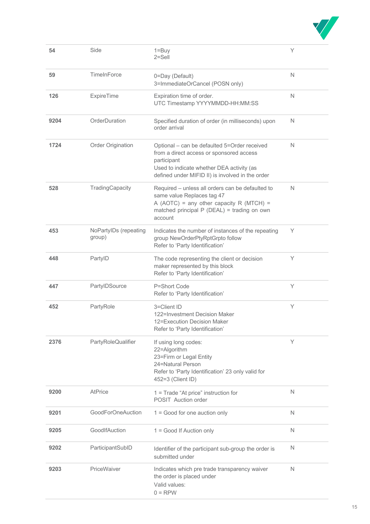

| 54   | Side                            | $1 = Buy$<br>$2 =$ Sell                                                                                                                                                                                  | Υ            |
|------|---------------------------------|----------------------------------------------------------------------------------------------------------------------------------------------------------------------------------------------------------|--------------|
| 59   | TimeInForce                     | 0=Day (Default)<br>3=ImmediateOrCancel (POSN only)                                                                                                                                                       | $\mathsf{N}$ |
| 126  | <b>ExpireTime</b>               | Expiration time of order.<br>UTC Timestamp YYYYMMDD-HH:MM:SS                                                                                                                                             | N            |
| 9204 | OrderDuration                   | Specified duration of order (in milliseconds) upon<br>order arrival                                                                                                                                      | N            |
| 1724 | Order Origination               | Optional - can be defaulted 5=Order received<br>from a direct access or sponsored access<br>participant<br>Used to indicate whether DEA activity (as<br>defined under MIFID II) is involved in the order | $\mathsf{N}$ |
| 528  | TradingCapacity                 | Required - unless all orders can be defaulted to<br>same value Replaces tag 47<br>A (AOTC) = any other capacity R (MTCH) =<br>matched principal P (DEAL) = trading on own<br>account                     | $\mathsf{N}$ |
| 453  | NoPartyIDs (repeating<br>group) | Indicates the number of instances of the repeating<br>group NewOrderPtyRptGrpto follow<br>Refer to 'Party Identification'                                                                                | Υ            |
| 448  | PartyID                         | The code representing the client or decision<br>maker represented by this block<br>Refer to 'Party Identification'                                                                                       | Υ            |
| 447  | PartylDSource                   | P=Short Code<br>Refer to 'Party Identification'                                                                                                                                                          | Y            |
| 452  | PartyRole                       | 3=Client ID<br>122=Investment Decision Maker<br>12=Execution Decision Maker<br>Refer to 'Party Identification'                                                                                           | Y            |
| 2376 | PartyRoleQualifier              | If using long codes:<br>22=Algorithm<br>23=Firm or Legal Entity<br>24=Natural Person<br>Refer to 'Party Identification' 23 only valid for<br>452=3 (Client ID)                                           | Υ            |
| 9200 | <b>AtPrice</b>                  | 1 = Trade "At price" instruction for<br>POSIT Auction order                                                                                                                                              | N            |
| 9201 | GoodForOneAuction               | $1 = Good$ for one auction only                                                                                                                                                                          | N            |
| 9205 | GoodIfAuction                   | 1 = Good If Auction only                                                                                                                                                                                 | N            |
| 9202 | ParticipantSubID                | Identifier of the participant sub-group the order is<br>submitted under                                                                                                                                  | N            |
| 9203 | PriceWaiver                     | Indicates which pre trade transparency waiver<br>the order is placed under<br>Valid values:<br>$0 =$ RPW                                                                                                 | N            |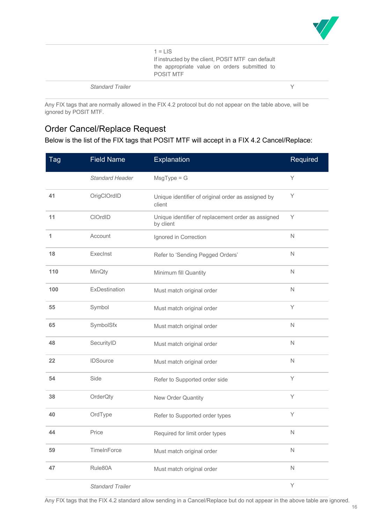

 $1 = LIS$ If instructed by the client, POSIT MTF can default the appropriate value on orders submitted to POSIT MTF

*Standard Trailer* Y

Any FIX tags that are normally allowed in the FIX 4.2 protocol but do not appear on the table above, will be ignored by POSIT MTF.

### Order Cancel/Replace Request

Below is the list of the FIX tags that POSIT MTF will accept in a FIX 4.2 Cancel/Replace:

| <b>Tag</b> | <b>Field Name</b>       | Explanation                                                     | Required     |
|------------|-------------------------|-----------------------------------------------------------------|--------------|
|            | <b>Standard Header</b>  | $MsgType = G$                                                   | Υ            |
| 41         | OrigClOrdID             | Unique identifier of original order as assigned by<br>client    | Υ            |
| 11         | ClOrdID                 | Unique identifier of replacement order as assigned<br>by client | Y            |
| 1          | Account                 | Ignored in Correction                                           | $\mathbb N$  |
| 18         | Execlnst                | Refer to 'Sending Pegged Orders'                                | $\mathsf{N}$ |
| 110        | MinQty                  | Minimum fill Quantity                                           | $\mathsf{N}$ |
| 100        | ExDestination           | Must match original order                                       | $\mathsf{N}$ |
| 55         | Symbol                  | Must match original order                                       | Υ            |
| 65         | SymbolSfx               | Must match original order                                       | $\mathbb N$  |
| 48         | SecurityID              | Must match original order                                       | $\mathsf{N}$ |
| 22         | <b>IDSource</b>         | Must match original order                                       | $\mathsf{N}$ |
| 54         | Side                    | Refer to Supported order side                                   | Υ            |
| 38         | OrderQty                | New Order Quantity                                              | Υ            |
| 40         | OrdType                 | Refer to Supported order types                                  | Y            |
| 44         | Price                   | Required for limit order types                                  | N.           |
| 59         | TimeInForce             | Must match original order                                       | $\hbox{N}$   |
| 47         | Rule80A                 | Must match original order                                       | $\mathbb N$  |
|            | <b>Standard Trailer</b> |                                                                 | Y            |

Any FIX tags that the FIX 4.2 standard allow sending in a Cancel/Replace but do not appear in the above table are ignored.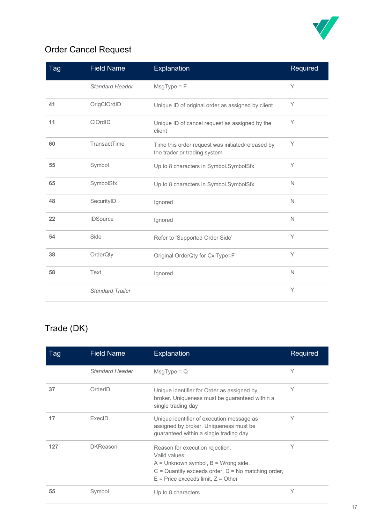

## Order Cancel Request

| Tag | <b>Field Name</b>       | Explanation                                                                       | Required     |
|-----|-------------------------|-----------------------------------------------------------------------------------|--------------|
|     | <b>Standard Header</b>  | $MsgType = F$                                                                     | Y            |
| 41  | OrigClOrdID             | Unique ID of original order as assigned by client                                 | Υ            |
| 11  | <b>CIOrdID</b>          | Unique ID of cancel request as assigned by the<br>client                          | Y            |
| 60  | TransactTime            | Time this order request was initiated/released by<br>the trader or trading system | Y            |
| 55  | Symbol                  | Up to 8 characters in Symbol.SymbolSfx                                            | Y            |
| 65  | SymbolSfx               | Up to 8 characters in Symbol.SymbolSfx                                            | N            |
| 48  | SecurityID              | Ignored                                                                           | N            |
| 22  | <b>IDSource</b>         | Ignored                                                                           | N            |
| 54  | Side                    | Refer to 'Supported Order Side'                                                   | Y            |
| 38  | OrderQty                | Original OrderQty for CxlType=F                                                   | Y            |
| 58  | Text                    | Ignored                                                                           | $\mathsf{N}$ |
|     | <b>Standard Trailer</b> |                                                                                   | Y            |

## Trade (DK)

| Tag | <b>Field Name</b> | Explanation                                                                                                                                                                                     | Required |
|-----|-------------------|-------------------------------------------------------------------------------------------------------------------------------------------------------------------------------------------------|----------|
|     | Standard Header   | $MsgType = Q$                                                                                                                                                                                   | Υ        |
| 37  | OrderID           | Unique identifier for Order as assigned by<br>broker. Uniqueness must be guaranteed within a<br>single trading day                                                                              | Υ        |
| 17  | ExecID            | Unique identifier of execution message as<br>assigned by broker. Uniqueness must be<br>guaranteed within a single trading day                                                                   | Υ        |
| 127 | <b>DKReason</b>   | Reason for execution rejection.<br>Valid values:<br>$A =$ Unknown symbol, $B =$ Wrong side,<br>$C =$ Quantity exceeds order, $D =$ No matching order,<br>$E$ = Price exceeds limit, $Z$ = Other | Υ        |
| 55  | Symbol            | Up to 8 characters                                                                                                                                                                              | Υ        |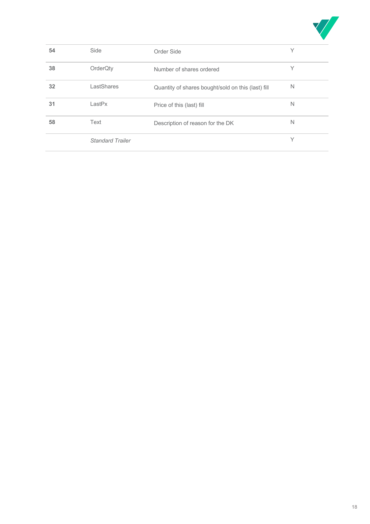

| 54 | Side                    | Order Side                                         | Υ |
|----|-------------------------|----------------------------------------------------|---|
| 38 | OrderQty                | Number of shares ordered                           | Υ |
| 32 | LastShares              | Quantity of shares bought/sold on this (last) fill | N |
| 31 | LastPx                  | Price of this (last) fill                          | N |
| 58 | Text                    | Description of reason for the DK                   | N |
|    | <b>Standard Trailer</b> |                                                    | Υ |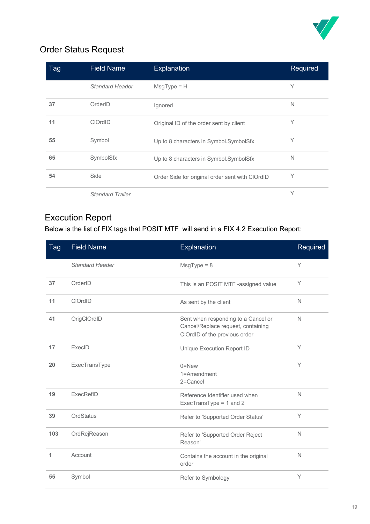

## Order Status Request

| Tag | <b>Field Name</b>       | <b>Explanation</b>                              | Required |
|-----|-------------------------|-------------------------------------------------|----------|
|     | <b>Standard Header</b>  | $MsgType = H$                                   | Υ        |
| 37  | OrderID                 | Ignored                                         | N        |
| 11  | <b>CIOrdID</b>          | Original ID of the order sent by client         | Υ        |
| 55  | Symbol                  | Up to 8 characters in Symbol.SymbolSfx          | Υ        |
| 65  | SymbolSfx               | Up to 8 characters in Symbol.SymbolSfx          | N        |
| 54  | Side                    | Order Side for original order sent with ClOrdID | Y        |
|     | <b>Standard Trailer</b> |                                                 | Υ        |

## Execution Report

Below is the list of FIX tags that POSIT MTF will send in a FIX 4.2 Execution Report:

| Tag | <b>Field Name</b>      | Explanation                                                                                                | Required     |
|-----|------------------------|------------------------------------------------------------------------------------------------------------|--------------|
|     | <b>Standard Header</b> | $MsgType = 8$                                                                                              | Y            |
| 37  | OrderID                | This is an POSIT MTF -assigned value                                                                       | Y            |
| 11  | <b>CIOrdID</b>         | As sent by the client                                                                                      | $\mathsf{N}$ |
| 41  | OrigClOrdID            | Sent when responding to a Cancel or<br>Cancel/Replace request, containing<br>ClOrdID of the previous order | N            |
| 17  | ExecID                 | Unique Execution Report ID                                                                                 | Υ            |
| 20  | ExecTransType          | $0 =$ New<br>1=Amendment<br>2=Cancel                                                                       | Y            |
| 19  | ExecRefID              | Reference Identifier used when<br>ExecTransType = 1 and 2                                                  | $\mathsf{N}$ |
| 39  | <b>OrdStatus</b>       | Refer to 'Supported Order Status'                                                                          | Υ            |
| 103 | OrdRejReason           | Refer to 'Supported Order Reject<br>Reason'                                                                | $\mathbb N$  |
| 1   | Account                | Contains the account in the original<br>order                                                              | N            |
| 55  | Symbol                 | Refer to Symbology                                                                                         | Υ            |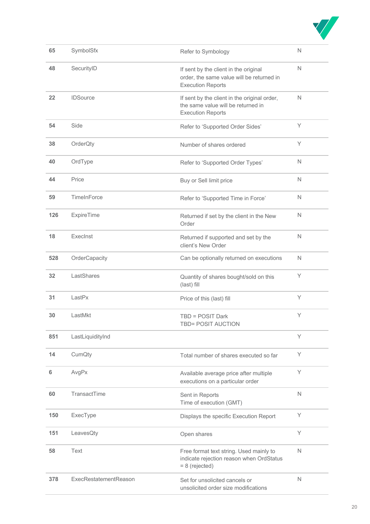

| 65  | SymbolSfx             | Refer to Symbology                                                                                             | N |
|-----|-----------------------|----------------------------------------------------------------------------------------------------------------|---|
| 48  | SecurityID            | If sent by the client in the original<br>order, the same value will be returned in<br><b>Execution Reports</b> | N |
| 22  | <b>IDSource</b>       | If sent by the client in the original order,<br>the same value will be returned in<br><b>Execution Reports</b> | N |
| 54  | Side                  | Refer to 'Supported Order Sides'                                                                               | Y |
| 38  | OrderQty              | Number of shares ordered                                                                                       | Υ |
| 40  | OrdType               | Refer to 'Supported Order Types'                                                                               | N |
| 44  | Price                 | Buy or Sell limit price                                                                                        | N |
| 59  | TimeInForce           | Refer to 'Supported Time in Force'                                                                             | N |
| 126 | <b>ExpireTime</b>     | Returned if set by the client in the New<br>Order                                                              | Ν |
| 18  | ExecInst              | Returned if supported and set by the<br>client's New Order                                                     | N |
| 528 | OrderCapacity         | Can be optionally returned on executions                                                                       | N |
| 32  | LastShares            | Quantity of shares bought/sold on this<br>(last) fill                                                          | Y |
| 31  | LastPx                | Price of this (last) fill                                                                                      | Y |
| 30  | LastMkt               | TBD = POSIT Dark<br>TBD= POSIT AUCTION                                                                         | Υ |
| 851 | LastLiquidityInd      |                                                                                                                | Y |
| 14  | CumQty                | Total number of shares executed so far                                                                         | Υ |
| 6   | AvgPx                 | Available average price after multiple<br>executions on a particular order                                     | Υ |
| 60  | TransactTime          | Sent in Reports<br>Time of execution (GMT)                                                                     | N |
| 150 | ExecType              | Displays the specific Execution Report                                                                         | Υ |
| 151 | LeavesQty             | Open shares                                                                                                    | Y |
| 58  | Text                  | Free format text string. Used mainly to<br>indicate rejection reason when OrdStatus<br>$= 8$ (rejected)        | N |
| 378 | ExecRestatementReason | Set for unsolicited cancels or<br>unsolicited order size modifications                                         | N |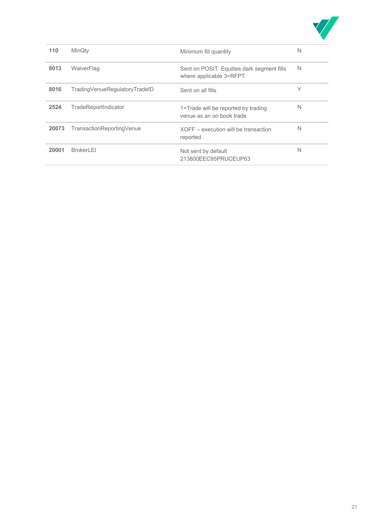

| 110   | <b>MinQty</b>                 | Minimum fill quantity                                                | N |
|-------|-------------------------------|----------------------------------------------------------------------|---|
| 8013  | WaiverFlag                    | Sent on POSIT Equities dark segment fills<br>where applicable 3=RFPT | N |
| 8016  | TradingVenueRegulatoryTradeID | Sent on all fills                                                    | Υ |
| 2524  | TradeReportIndicator          | 1=Trade will be reported by trading<br>venue as an on book trade     | N |
| 20073 | TransactionReportingVenue     | $XOFF - execution$ will be transaction<br>reported                   | N |
| 20001 | <b>BrokerLEL</b>              | Not sent by default<br>213800EEC95PRUCEUP63                          | N |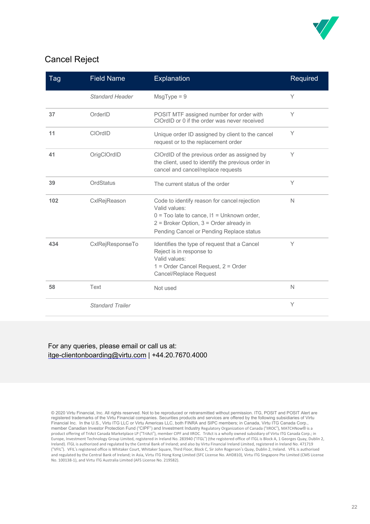

## Cancel Reject

| Tag | <b>Field Name</b>       | Explanation                                                                                                                                                                                                | Required     |
|-----|-------------------------|------------------------------------------------------------------------------------------------------------------------------------------------------------------------------------------------------------|--------------|
|     | <b>Standard Header</b>  | $MsgType = 9$                                                                                                                                                                                              | Y            |
| 37  | OrderID                 | POSIT MTF assigned number for order with<br>ClOrdID or 0 if the order was never received                                                                                                                   | Y            |
| 11  | <b>CIOrdID</b>          | Unique order ID assigned by client to the cancel<br>request or to the replacement order                                                                                                                    | Υ            |
| 41  | OrigClOrdID             | ClOrdID of the previous order as assigned by<br>the client, used to identify the previous order in<br>cancel and cancel/replace requests                                                                   | Υ            |
| 39  | OrdStatus               | The current status of the order                                                                                                                                                                            | Υ            |
| 102 | CxlRejReason            | Code to identify reason for cancel rejection<br>Valid values:<br>$0 =$ Too late to cance, $11 =$ Unknown order,<br>$2$ = Broker Option, $3$ = Order already in<br>Pending Cancel or Pending Replace status | N            |
| 434 | CxlRejResponseTo        | Identifies the type of request that a Cancel<br>Reject is in response to<br>Valid values:<br>1 = Order Cancel Request, 2 = Order<br><b>Cancel/Replace Request</b>                                          | Υ            |
| 58  | Text                    | Not used                                                                                                                                                                                                   | $\mathsf{N}$ |
|     | <b>Standard Trailer</b> |                                                                                                                                                                                                            | Υ            |

#### For any queries, please email or call us at: itge-clientonboarding@virtu.com | +44.20.7670.4000

<sup>© 2020</sup> Virtu Financial, Inc. All rights reserved. Not to be reproduced or retransmitted without permission. ITG, POSIT and POSIT Alert are<br>registered trademarks of the Virtu Financial companies. Securities products and ser Financial Inc. In the U.S., Virtu ITG LLC or Virtu Americas LLC, both FINRA and SIPC members; in Canada, Virtu ITG Canada Corp., member Canadian Investor Protection Fund ("CIPF") and Investment Industry Regulatory Organization of Canada ("IIROC"), MATCHNow® is a product offering of TriAct Canada Marketplace LP ("TriAct"), member CIPF and IIROC. TriAct is a wholly owned subsidiary of Virtu ITG Canada Corp.; in Europe, Investment Technology Group Limited, registered in Ireland No. 283940 ("ITGL") (the registered office of ITGL is Block A, 1 Georges Quay, Dublin 2, Ireland). ITGL is authorized and regulated by the Central Bank of Ireland; and also by Virtu Financial Ireland Limited, registered in Ireland No. 471719 ("VFIL"). VFIL's registered office is Whitaker Court, Whitaker Square, Third Floor, Block C, Sir John Rogerson's Quay, Dublin 2, Ireland. VFIL is authorised and regulated by the Central Bank of Ireland; in Asia, Virtu ITG Hong Kong Limited (SFC License No. AHD810), Virtu ITG Singapore Pte Limited (CMS License No. 100138-1), and Virtu ITG Australia Limited (AFS License No. 219582).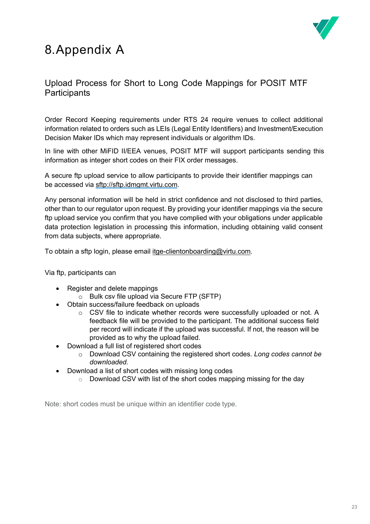# 8.Appendix A



## Upload Process for Short to Long Code Mappings for POSIT MTF **Participants**

Order Record Keeping requirements under RTS 24 require venues to collect additional information related to orders such as LEIs (Legal Entity Identifiers) and Investment/Execution Decision Maker IDs which may represent individuals or algorithm IDs.

In line with other MiFID II/EEA venues, POSIT MTF will support participants sending this information as integer short codes on their FIX order messages.

A secure ftp upload service to allow participants to provide their identifier mappings can be accessed via sftp://sftp.idmgmt.virtu.com.

Any personal information will be held in strict confidence and not disclosed to third parties, other than to our regulator upon request. By providing your identifier mappings via the secure ftp upload service you confirm that you have complied with your obligations under applicable data protection legislation in processing this information, including obtaining valid consent from data subjects, where appropriate.

To obtain a sftp login, please email itge-clientonboarding@virtu.com.

Via ftp, participants can

- Register and delete mappings
	- o Bulk csv file upload via Secure FTP (SFTP)
- Obtain success/failure feedback on uploads
	- $\circ$  CSV file to indicate whether records were successfully uploaded or not. A feedback file will be provided to the participant. The additional success field per record will indicate if the upload was successful. If not, the reason will be provided as to why the upload failed.
- Download a full list of registered short codes
	- o Download CSV containing the registered short codes. *Long codes cannot be downloaded.*
- Download a list of short codes with missing long codes
	- o Download CSV with list of the short codes mapping missing for the day

Note: short codes must be unique within an identifier code type.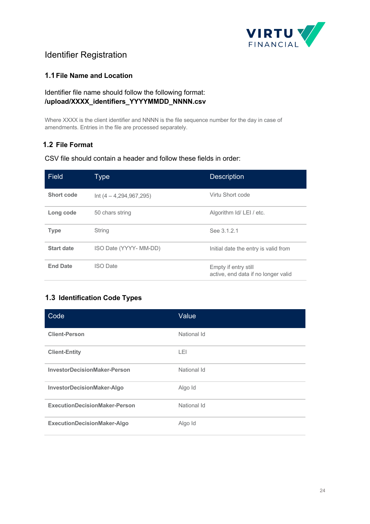

## Identifier Registration

#### **1.1File Name and Location**

#### Identifier file name should follow the following format: **/upload/XXXX\_identifiers\_YYYYMMDD\_NNNN.csv**

Where XXXX is the client identifier and NNNN is the file sequence number for the day in case of amendments. Entries in the file are processed separately.

#### **1.2 File Format**

#### CSV file should contain a header and follow these fields in order:

| <b>Field</b>      | Type                      | <b>Description</b>                                          |
|-------------------|---------------------------|-------------------------------------------------------------|
| Short code        | $Int (4 - 4,294,967,295)$ | Virtu Short code                                            |
| Long code         | 50 chars string           | Algorithm Id/ LEI / etc.                                    |
| <b>Type</b>       | String                    | See 3.1.2.1                                                 |
| <b>Start date</b> | ISO Date (YYYY- MM-DD)    | Initial date the entry is valid from                        |
| <b>End Date</b>   | <b>ISO Date</b>           | Empty if entry still<br>active, end data if no longer valid |

#### **1.3 Identification Code Types**

| Code                                 | Value       |
|--------------------------------------|-------------|
| <b>Client-Person</b>                 | National Id |
| <b>Client-Entity</b>                 | LEI         |
| <b>InvestorDecisionMaker-Person</b>  | National Id |
| InvestorDecisionMaker-Algo           | Algo Id     |
| <b>ExecutionDecisionMaker-Person</b> | National Id |
| <b>ExecutionDecisionMaker-Algo</b>   | Algo Id     |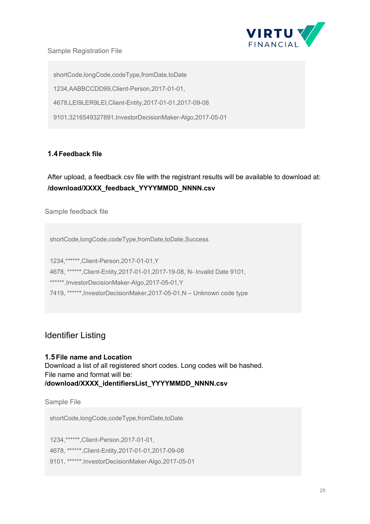

#### Sample Registration File

shortCode,longCode,codeType,fromDate,toDate 1234,AABBCCDD99,Client-Person,2017-01-01, 4678,LEI9LER9LEI,Client-Entity,2017-01-01,2017-09-08 9101,3216549327891,InvestorDecisionMaker-Algo,2017-05-01

#### **1.4Feedback file**

After upload, a feedback csv file with the registrant results will be available to download at: **/download/XXXX\_feedback\_YYYYMMDD\_NNNN.csv**

Sample feedback file

shortCode,longCode,codeType,fromDate,toDate,Success

1234,\*\*\*\*\*\*,Client-Person,2017-01-01,Y

4678, \*\*\*\*\*\*,Client-Entity,2017-01-01,2017-19-08, N- Invalid Date 9101,

\*\*\*\*\*\*,InvestorDecisionMaker-Algo,2017-05-01,Y

7419, \*\*\*\*\*\*,InvestorDecisionMaker,2017-05-01,N – Unknown code type

### Identifier Listing

#### **1.5File name and Location**

Download a list of all registered short codes. Long codes will be hashed. File name and format will be: **/download/XXXX\_identifiersList\_YYYYMMDD\_NNNN.csv**

Sample File

shortCode,longCode,codeType,fromDate,toDate

1234,\*\*\*\*\*\*,Client-Person,2017-01-01,

4678, \*\*\*\*\*\*,Client-Entity,2017-01-01,2017-09-08

9101, \*\*\*\*\*\*,InvestorDecisionMaker-Algo,2017-05-01